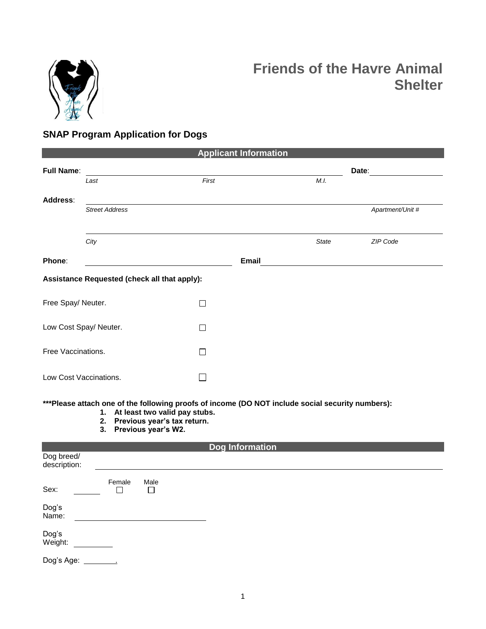

# **Friends of the Havre Animal Shelter**

# **SNAP Program Application for Dogs**

| <b>Applicant Information</b>                 |                       |        |       |                  |  |  |  |  |  |  |  |  |
|----------------------------------------------|-----------------------|--------|-------|------------------|--|--|--|--|--|--|--|--|
| <b>Full Name:</b>                            |                       |        |       | Date:            |  |  |  |  |  |  |  |  |
|                                              | Last                  | First  | M.I.  |                  |  |  |  |  |  |  |  |  |
| Address:                                     |                       |        |       |                  |  |  |  |  |  |  |  |  |
|                                              | <b>Street Address</b> |        |       | Apartment/Unit # |  |  |  |  |  |  |  |  |
|                                              | City                  |        | State | ZIP Code         |  |  |  |  |  |  |  |  |
| Phone:                                       |                       | Email  |       |                  |  |  |  |  |  |  |  |  |
| Assistance Requested (check all that apply): |                       |        |       |                  |  |  |  |  |  |  |  |  |
| Free Spay/ Neuter.                           |                       | П      |       |                  |  |  |  |  |  |  |  |  |
| Low Cost Spay/ Neuter.                       |                       | П      |       |                  |  |  |  |  |  |  |  |  |
| Free Vaccinations.                           |                       | $\Box$ |       |                  |  |  |  |  |  |  |  |  |
| Low Cost Vaccinations.                       |                       |        |       |                  |  |  |  |  |  |  |  |  |

**\*\*\*Please attach one of the following proofs of income (DO NOT include social security numbers):** 

- **1. At least two valid pay stubs.**
- **2. Previous year's tax return.**
- **3. Previous year's W2.**

| <b>Dog Information</b>     |              |                |  |  |  |  |  |  |  |
|----------------------------|--------------|----------------|--|--|--|--|--|--|--|
| Dog breed/<br>description: |              |                |  |  |  |  |  |  |  |
| Sex:                       | Female<br>m. | Male<br>$\Box$ |  |  |  |  |  |  |  |
| Dog's<br>Name:             |              |                |  |  |  |  |  |  |  |
| Dog's<br>Weight:           |              |                |  |  |  |  |  |  |  |
| Dog's Age:                 |              |                |  |  |  |  |  |  |  |